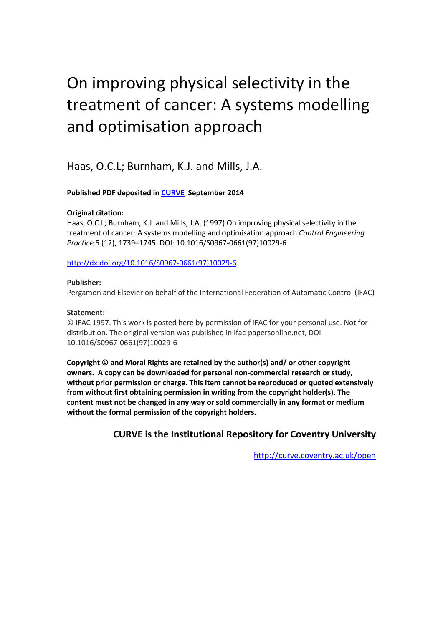# On improving physical selectivity in the treatment of cancer: A systems modelling and optimisation approach

Haas, O.C.L; Burnham, K.J. and Mills, J.A.

# **Published PDF deposited in [CURVE](http://curve.coventry.ac.uk/open) September 2014**

## **Original citation:**

Haas, O.C.L; Burnham, K.J. and Mills, J.A. (1997) On improving physical selectivity in the treatment of cancer: A systems modelling and optimisation approach *Control Engineering Practice* 5 (12), 1739–1745. DOI: 10.1016/S0967-0661(97)10029-6

[http://dx.doi.org/10.1016/S0967-0661\(97\)10029-6](http://dx.doi.org/10.1016/S0967-0661(97)10029-6)

### **Publisher:**

Pergamon and Elsevier on behalf of the International Federation of Automatic Control (IFAC)

## **Statement:**

© IFAC 1997. This work is posted here by permission of IFAC for your personal use. Not for distribution. The original version was published in ifac-papersonline.net, DOI 10.1016/S0967-0661(97)10029-6

**Copyright © and Moral Rights are retained by the author(s) and/ or other copyright owners. A copy can be downloaded for personal non-commercial research or study, without prior permission or charge. This item cannot be reproduced or quoted extensively from without first obtaining permission in writing from the copyright holder(s). The content must not be changed in any way or sold commercially in any format or medium without the formal permission of the copyright holders.**

# **CURVE is the Institutional Repository for Coventry University**

<http://curve.coventry.ac.uk/open>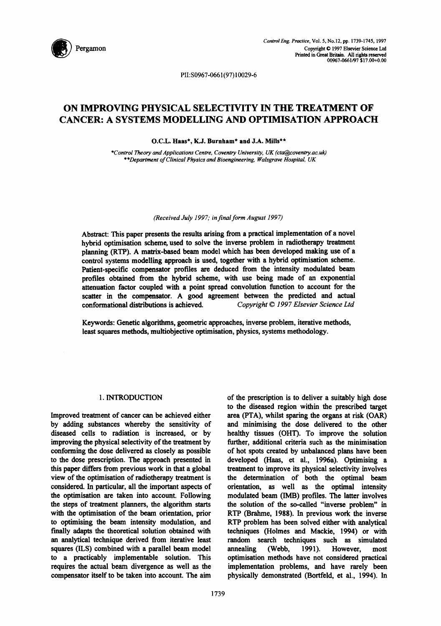

PII:S0967-0661 (97) 10029-6

# **ON IMPROVING PHYSICAL SELECTIVITY IN THE TREATMENT OF CANCER: A SYSTEMS MODELLING AND OPTIMISATION APPROACH**

O.C.L. Haas\*, K.J. Burnham\* and J.A. Mills\*\*

*\*Control Theory and Applications Centre, Coventry University, UK (cta@coventry.ac.uk) \*\*Department of Clinical Physics and Bioengineering, Walsgrave Hospital, UK* 

#### *(Received July 1997; in final form August 1997)*

Abstract: This paper presents the results arising from a practical implementation of a novel hybrid optimisation scheme, used to solve the inverse problem in radiotherapy treatment planning (RTP). A matrix-based beam model which has been developed making use of a control systems modelling approach is used, together with a hybrid optimisation scheme. Patient-specific compensator profiles are deduced from the intensity modulated beam profiles obtained from the hybrid scheme, with use being made of an exponential attenuation factor coupled with a point spread convolution function to account for the scatter in the compensator. A good agreement between the predicted and actual conformational distributions is achieved. *Copyright © 1997 Elsevier Science Ltd* 

Keywords: Genetic algorithms, geometric approaches, inverse problem, iterative methods, least squares methods, multiobjective optimisation, physics, systems methodology.

#### 1. **INTRODUCTION**

Improved treatment of cancer can be achieved either by adding substances whereby the sensitivity of diseased cells to radiation is increased, or by improving the physical selectivity of the treatment by conforming the dose delivered as closely as possible to the dose prescription. The approach presented in this paper differs from previous work in that a global view of the optimisation of radiotherapy treatment is considered. In particular, all the important aspects of the optimisation are taken into account. Following the steps of treatment planners, the algorithm starts with the optimisation of the beam orientation, prior to optimising the beam intensity modulation, and finally adapts the theoretical solution obtained with an analytical technique derived from iterative least squares (ILS) combined with a parallel beam model to a practicably implementable solution. This requires the actual beam divergence as well as the compensator itself to be taken into account. The aim

of the prescription is to deliver a suitably high dose to the diseased region within the prescribed target area (PTA), whilst sparing the organs at risk (OAR) and minimising the dose delivered to the other healthy tissues (OHT). To improve the solution further, additional criteria such as the minimisation of hot spots created by unbalanced plans have been developed (Haas, et al., 1996a). Optimising a treatment to improve its physical selectivity involves the determination of both the optimal beam orientation, as well as the optimal intensity modulated beam (IMB) profiles. The latter involves the solution of the so-called "inverse problem" in RTP (Brahme, 1988). In previous work the inverse RTP problem has been solved either with analytical techniques (Holmes and Mackie, 1994) or with random search techniques such as simulated annealing (Webb, 1991). However, most optimisation methods have not considered practical implementation problems, and have rarely been physically demonstrated (Bortfeld, et al., 1994). In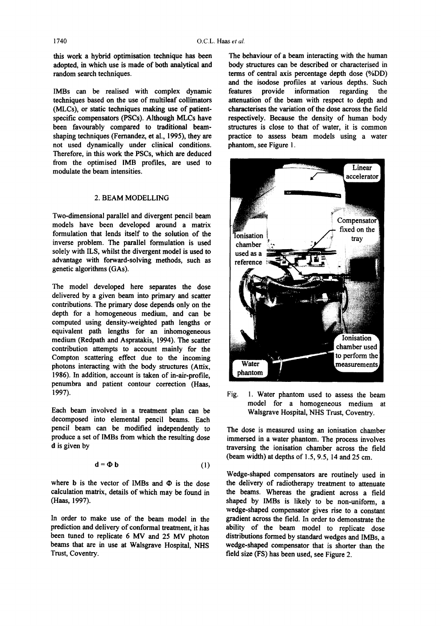this work a hybrid optimisation technique has been adopted, in which use is made of both analytical and random search techniques.

IMBs can be realised with complex dynamic techniques based on the use of multileaf collimators (MLCs), or static techniques making use of patientspecific compensators (PSCs). Although MLCs have been favourably compared to traditional beamshaping techniques (Fernandez, et al., 1995), they are not used dynamically under clinical conditions. Therefore, in this work the PSCs, which are deduced from the optimised IMB profiles, are used to modulate the beam intensities.

#### 2. BEAM MODELLING

Two-dimensional parallel and divergent pencil beam models have been developed around a matrix formulation that lends itself to the solution of the inverse problem. The parallel formulation is used solely with ILS, whilst the divergent model is used to advantage with forward-solving methods, such as genetic algorithms (GAs).

The model developed here separates the dose delivered by a given beam into primary and scatter contributions. The primary dose depends only on the depth for a homogeneous medium, and can be computed using density-weighted path lengths or equivalent path lengths for an inhomogeneous medium (Redpath and Aspratakis, 1994). The scatter contribution attempts to account mainly for the Compton scattering effect due to the incoming photons interacting with the body structures (Attix, 1986). In addition, account is taken of in-air-profile, penumbra and patient contour correction (Haas, 1997).

Each beam involved in a treatment plan can be decomposed into elemental pencil beams. Each pencil beam can be modified independently to produce a set of IMBs from which the resulting dose d is given by

$$
\mathbf{d} = \mathbf{\Phi} \, \mathbf{b} \tag{1}
$$

where  $b$  is the vector of IMBs and  $\Phi$  is the dose calculation matrix, details of which may be found in (Haas, 1997).

In order to make use of the beam model in the prediction and delivery of conformal treatment, it has been tuned to replicate 6 MV and 25 MV photon beams that are in use at Walsgrave Hospital, NHS Trust, Coventry.

The behaviour of a beam interacting with the human body structures can be described or characterised in terms of central axis percentage depth dose (%DD) and the isodose profiles at various depths. Such features provide information regarding the attenuation of the beam with respect to depth and characterises the variation of the dose across the field respectively. Because the density of human body structures is close to that of water, it is common practice to assess beam models using a water phantom, see Figure 1.



Fig. 1. Water phantom used to assess the beam model for a homogeneous medium at Walsgrave Hospital, NHS Trust, Coventry.

The dose is measured using an ionisation chamber immersed in a water phantom. The process involves traversing the ionisation chamber across the field (beam width) at depths of 1.5, 9.5, 14 and 25 cm.

Wedge-shaped compensators are routinely used in the delivery of radiotherapy treatment to attenuate the beams. Whereas the gradient across a field shaped by IMBs is likely to be non-uniform, a wedge-shaped compensator gives rise to a constant gradient across the field. In order to demonstrate the ability of the beam model to replicate dose distributions formed by standard wedges and IMBs, a wedge-shaped compensator that is shorter than the field size (FS) has been used, see Figure 2.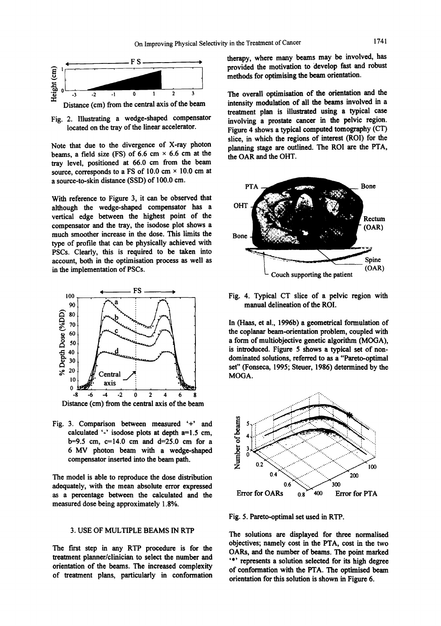

Fig. 2. Illustrating a wedge-shaped compensator located on the tray of the linear accelerator.

Note that due to the divergence of X-ray photon beams, a field size (FS) of 6.6 cm  $\times$  6.6 cm at the tray level, positioned at 66.0 cm from the beam source, corresponds to a FS of 10.0 cm  $\times$  10.0 cm at a source-to-skin distance (SSD) of 100.0 cm.

With reference to Figure 3, it can be observed that although the wedge-shaped compensator has a vertical edge between the highest point of the compensator and the tray, the isodose plot shows a much smoother increase in the dose. This limits the type of profile that can be physically achieved with PSCs. Clearly, this is required to be taken into account, both in the optimisation process as well as in the implementation of PSCs.



Fig. 3. Comparison between measured '+' and calculated '-' isodose plots at depth  $a=1.5$  cm,  $b=9.5$  cm,  $c=14.0$  cm and  $d=25.0$  cm for a 6 MV photon beam with a wedge-shaped compensator inserted into the beam path.

The model is able to reproduce the dose distribution adequately, with the mean absolute error expressed as a percentage between the calculated and the measured dose being approximately 1.8%.

#### 3. USE OF MULTIPLE BEAMS IN RTP

The first step in any RTP procedure is for the treatment planner/clinician to select the number and orientation of the beams. The increased complexity of treatment plans, particularly in conformation

therapy, where many beams may be involved, has provided the motivation to develop fast and robust methods for optimising the beam orientation.

The overall optimisation of the orientation and the intensity modulation of all the beams involved in a treatment plan is illustrated using a typical case involving a prostate cancer in the pelvic region. Figure 4 shows a typical computed tomography (CT) slice, in which the regions of interest (ROI) for the planning stage are outlined. The ROI are the PTA, the OAR and the OHT.



Fig. 4. Typical CT slice of a pelvic region with manual delineation of the ROI.

In (Haas, et al., 1996b) a geometrical formulation of the coplanar beam-orientation problem, coupled with a form of multiobjective genetic algorithm (MOGA), is introduced. Figure 5 shows a typical set of nondominated solutions, referred to as a "Pareto-optimal set" (Fonseca, 1995; Steuer, 1986) determined by the MOGA.



**Fig. 5. Pareto-optimal set used in RTP.** 

The solutions are displayed for three normalised objectives; namely cost in the PTA, cost in the two OARs, and the number of beams. The point marked '\*' represents a solution selected for its high degree of conformation with the PTA. The optimised beam orientation for this solution is shown in Figure 6.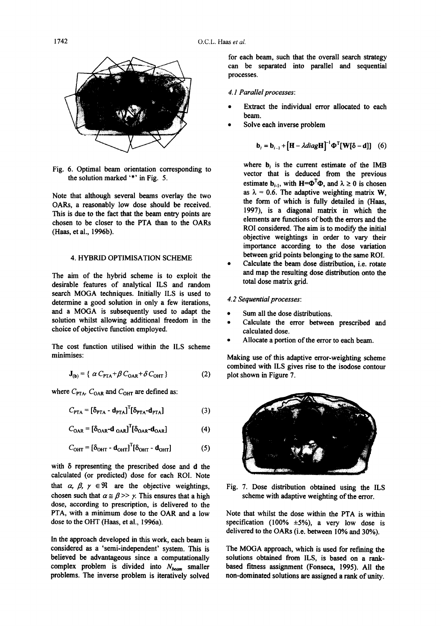

Fig. 6. Optimal beam orientation corresponding to the solution marked '\*' in Fig. 5.

Note that although several beams overlay the two OARs, a reasonably low dose should be received. This is due to the fact that the beam entry points are chosen to be closer to the PTA than to the OARs (Haas, et al., 1996b).

#### 4. HYBRID OPTIMISATION SCHEME

The aim of the hybrid scheme is to exploit the desirable features of analytical ILS and random search MOGA techniques. Initially ILS is used to determine a good solution in only a few iterations, and a MOGA is subsequently used to adapt the solution whilst allowing additional freedom in the choice of objective function employed.

The cost function utilised within the ILS scheme minimises:

$$
\mathbf{J}_{(\mathbf{b})} = \{ \ \alpha \, C_{\text{PTA}} + \beta \, C_{\text{OAR}} + \delta \, C_{\text{OHT}} \} \tag{2}
$$

where  $C_{\text{PTA}}$ ,  $C_{\text{OAR}}$  and  $C_{\text{OHT}}$  are defined as:

$$
C_{\text{PTA}} = \left[\delta_{\text{PTA}} \cdot \mathbf{d}_{\text{PTA}}\right]^{\text{T}} \left[\delta_{\text{PTA}} \cdot \mathbf{d}_{\text{PTA}}\right] \tag{3}
$$

$$
C_{OAR} = [\delta_{OAR} - \mathbf{d}_{OAR}]^{T} [\delta_{OAR} - \mathbf{d}_{OAR}]
$$
 (4)

$$
C_{\text{OHT}} = \left[\delta_{\text{OHT}} \cdot \mathbf{d}_{\text{OHT}}\right]^{\text{T}} \left[\delta_{\text{OHT}} \cdot \mathbf{d}_{\text{OHT}}\right] \tag{5}
$$

with  $\delta$  representing the prescribed dose and  $d$  the calculated (or predicted) dose for each ROI. Note that  $\alpha$ ,  $\beta$ ,  $\gamma \in \mathcal{R}$  are the objective weightings, chosen such that  $\alpha \leq \beta \geq \gamma$ . This ensures that a high dose, according to prescription, is delivered to the PTA, with a minimum dose to the OAR and a low dose to the OHT (Haas, et al., 1996a).

In the approach developed in this work, each beam is considered as a 'semi-independent' system. This is believed be advantageous since a computationally complex problem is divided into  $N_{beam}$  smaller problems. The inverse problem is iteratively solved for each beam, such that the overall search strategy can be separated into parallel and sequential processes.

#### *4.1 Parallel processes:*

- Extract the individual error allocated to each beam.
- Solve each inverse problem

$$
\mathbf{b}_{i} = \mathbf{b}_{i-1} + [\mathbf{H} - \lambda \mathbf{diag} \mathbf{H}]^{-1} \Phi^{T} [\mathbf{W}[\delta - \mathbf{d}]] \quad (6)
$$

where  $\mathbf{b}_i$  is the current estimate of the IMB vector that is deduced from the previous estimate  $\mathbf{b}_{i+1}$ , with  $\mathbf{H}=\mathbf{\Phi}^T\mathbf{\Phi}$ , and  $\lambda \geq 0$  is chosen as  $\lambda = 0.6$ . The adaptive weighting matrix W, the form of which is fully detailed in (Haas, 1997), is a diagonal matrix in which the elements are functions of both the errors and the ROI considered. The aim is to modify the initial objective weightings in order to vary their importance according to the dose variation between grid points belonging to the same ROI.

Calculate the beam dose distribution, i.e. rotate and map the resulting dose distribution onto the total dose matrix grid.

#### *4.2 Sequential processes:*

- Sum all the dose distributions.
- Calculate the error between prescribed and calculated dose.
- Allocate a portion of the error to each beam.

Making use of this adaptive error-weighting scheme combined with ILS gives rise to the isodose contour plot shown in Figure 7.



Fig. 7. Dose distribution obtained using the ILS scheme with adaptive weighting of the error.

Note that whilst the dose within the PTA is within specification (100%  $\pm$ 5%), a very low dose is delivered to the OARs (i.e. between 10% and 30%).

The MOGA approach, which is used for refining the solutions obtained from ILS, is based on a rankbased fitness assignment (Fonseca, 1995). All the non-dominated solutions are assigned a rank of unity.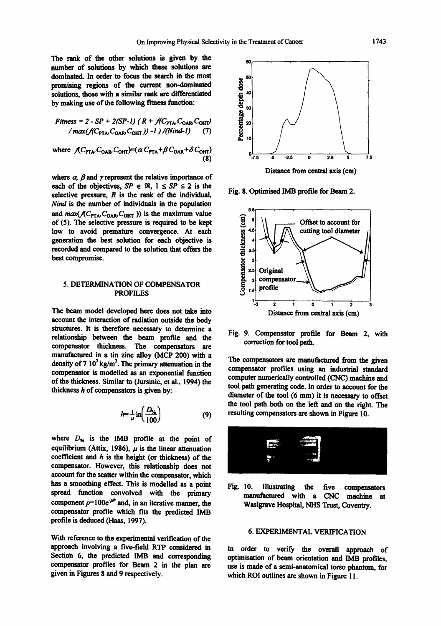The rank of the other solutions is given by the number of solutions by which these solutions are dominated. In order to focus the search in the most promising regions of the current non-dominated solutions, those with a similar rank are differentiated by making use of the following fimess function:

$$
Fitness = 2 - SP + 2(SP-I) (R + f(C_{PTA}C_{OAR}C_{OHT})
$$
  

$$
/ max(f(C_{PTA}C_{OAR}C_{OHT})) - 1) / (Nind-I)
$$
 (7)

where 
$$
f(C_{PTA}C_{OAR}C_{OHT})=(\alpha C_{PTA}+\beta C_{OAR}+\delta C_{OHT})
$$
 (8)

where  $\alpha$ ,  $\beta$  and  $\gamma$  represent the relative importance of each of the objectives,  $SP \in \mathcal{R}$ ,  $1 \leq SP \leq 2$  is the selective pressure,  $R$  is the rank of the individual, *Nind* is the number of individuals in the population and  $max(\mathcal{A}C_{\text{PTA}}C_{\text{OAR}}C_{\text{OHT}})$  is the maximum value of (5). The selective pressure is required to be kept low to avoid premature convergence. At each generation the best solution for each objective is recorded and compared to the solution that offers the best compromise.

#### 5. DETERMINATION OF COMPENSATOR PROFILES

The beam model developed here does not take into account the interaction of radiation outside the body structures. It is therefore necessary to determine a relationship between the beam profile and the compensator thickness. The compensators are manufactured in a tin zinc alloy (MCP 200) with a density of 7  $10^3$  kg/m<sup>3</sup>. The primary attenuation in the compensator is modelled as an exponential function of the thickness. Similar to (Jursinic, et al., 1994) the thickness  $h$  of compensators is given by:

$$
h = \frac{1}{\mu} \ln \left( \frac{D_{\gamma_2}}{100} \right) \tag{9}
$$

where  $D_{\varkappa}$  is the IMB profile at the point of equilibrium (Attix, 1986),  $\mu$  is the linear attenuation coefficient and  $h$  is the height (or thickness) of the compensator. However, this relationship does not account for the scatter within the compensator, which has a smoothing effect. This is modelled as a point spread function convolved with the primary component  $p=100e^{-\mu h}$  and, in an iterative manner, the compensator profile which fits the predicted IMB profile is deduced (Haas, 1997).

With reference to the experimental verification of the approach involving a five-field RTP considered in Section 6, the predicted IMB and corresponding compensator profiles for Beam 2 in the plan are given in Figures 8 and 9 respectively.



Fig. 8. Optimised IMB profile for Beam 2.



Fig. 9. Compensator profile for Beam 2, with correction for tool path.

The compensators are manufactured from the given compensator profiles using an industrial standard computer numerically controlled (CNC) machine and tool path generating code. In order to account for the diameter of the tool (6 mm) it is necessary to offset the tool path both on the left and on the right. The resulting compensators are shown in Figure I0.



Fig. 10. Illustrating the five compensators manufactured with a CNC machine at Waslgrave Hospital, NHS Trust, Coventry.

#### 6. EXPERIMENTAL VERIFICATION

In order to verify the overall approach of optimisation of beam orientation and IMB profiles, use is made of a semi-anatomical torso phantom, for which ROI outlines are shown in Figure 11.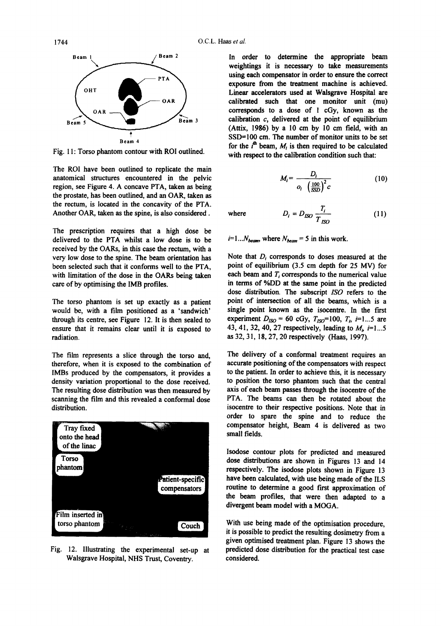

Fig. 11: Torso phantom contour with ROI outlined.

The ROI have been outlined to replicate the main anatomical structures encountered in the pelvic region, see Figure 4. A concave PTA, taken as being the prostate, has been outlined, and an OAR, taken as the rectum, is located in the concavity of the PTA. Another OAR, taken as the spine, is also considered.

The prescription requires that a high dose be delivered to the PTA whilst a low dose is to be received by the OARs, in this case the rectum, with a very low dose to the spine. The beam orientation has been selected such that it conforms well to the PTA, with limitation of the dose in the OARs being taken care of by optimising the IMB profiles.

The torso phantom is set up exactly as a patient would be, with a film positioned as a 'sandwich' through its centre, see Figure 12. It is then sealed to ensure that it remains clear until it is exposed to radiation.

The film represents a slice through the torso and, therefore, when it is exposed to the combination of IMBs produced by the compensators, it provides a density variation proportional to the dose received. The resulting dose distribution was then measured by scanning the film and this revealed a conformal dose distribution.



Fig. 12. Illustrating the experimental set-up at Walsgrave Hospital, NHS Trust, Coventry.

In order to determine the appropriate beam weightings it is necessary to take measurements using each compensator in order to ensure the correct exposure from the treatment machine is achieved. Linear accelerators used at Walsgrave Hospital are calibrated such that one monitor unit (mu) corresponds to a dose of 1 cGy, known as the calibration  $c$ , delivered at the point of equilibrium (Attix, 1986) by a 10 cm by 10 cm field, with an SSD=100 cm. The number of monitor units to be set for the  $t^{\text{th}}$  beam,  $M_i$  is then required to be calculated with respect to the calibration condition such that:

$$
M_i = \frac{D_i}{o_i \left(\frac{100}{SSD}\right)^2 c} \tag{10}
$$

where 
$$
D_i = D_{ISO} \frac{T_i}{T_{ISO}}
$$
 (11)

 $i=1...N_{beam}$ , where  $N_{beam} = 5$  in this work.

Note that  $D_i$  corresponds to doses measured at the point of equilibrium (3.5 cm depth for 25 MV) for each beam and  $T_i$  corresponds to the numerical value in terms of %DD at the same point in the predicted dose distribution. The subscript *ISO* refers to the point of intersection of all the beams, which is a single point known as the isocentre. In the first experiment  $D_{ISO} = 60 \text{ cGy}, T_{ISO} = 100, T_{i}, i=1...5 \text{ are}$ 43, 41, 32, 40, 27 respectively, leading to  $M_b$  *i*=1...5 as 32, 31, 18, 27, 20 respectively (Haas, 1997).

The delivery of a conformal treatment requires an accurate positioning of the compensators with respect to the patient. In order to achieve this, it is necessary to position the torso phantom such that the central axis of each beam passes through the isocentre of the PTA. The beams can then be rotated about the isocentre to their respective positions. Note that in order to spare the spine and to reduce the compensator height, Beam 4 is delivered as two small fields.

Isodose contour plots for predicted and measured dose distributions are shown in Figures 13 and 14 respectively. The isodose plots shown in Figure 13 have been calculated, with use being made of the ILS routine to determine a good first approximation of the beam profiles, that were then adapted to a divergent beam model with a MOGA.

With use being made of the optimisation procedure, it is possible to predict the resulting dosimetry from a given optimised treatment plan. Figure 13 shows the predicted dose distribution for the practical test case considered.